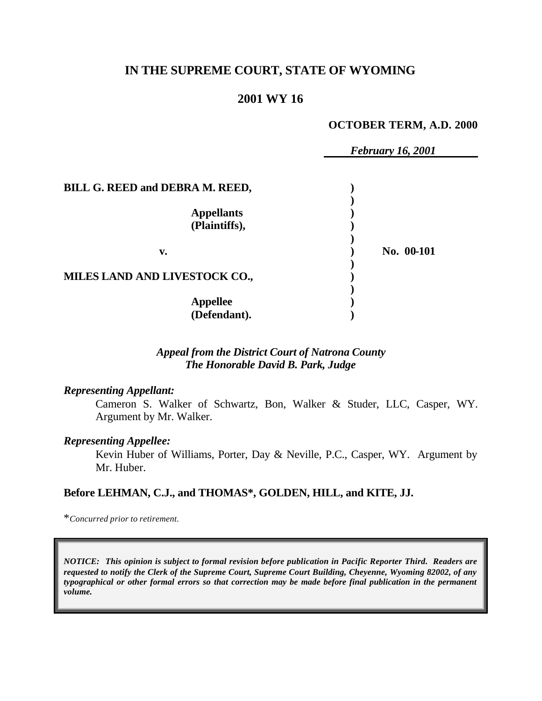# **IN THE SUPREME COURT, STATE OF WYOMING**

# **2001 WY 16**

### **OCTOBER TERM, A.D. 2000**

|                                 | <b>February 16, 2001</b> |
|---------------------------------|--------------------------|
|                                 |                          |
| BILL G. REED and DEBRA M. REED, |                          |
|                                 |                          |
| <b>Appellants</b>               |                          |
| (Plaintiffs),                   |                          |
|                                 |                          |
| v.                              | No. 00-101               |
|                                 |                          |
| MILES LAND AND LIVESTOCK CO.,   |                          |
|                                 |                          |
| <b>Appellee</b>                 |                          |
| (Defendant).                    |                          |

## *Appeal from the District Court of Natrona County The Honorable David B. Park, Judge*

#### *Representing Appellant:*

Cameron S. Walker of Schwartz, Bon, Walker & Studer, LLC, Casper, WY. Argument by Mr. Walker.

#### *Representing Appellee:*

Kevin Huber of Williams, Porter, Day & Neville, P.C., Casper, WY. Argument by Mr. Huber.

## **Before LEHMAN, C.J., and THOMAS\*, GOLDEN, HILL, and KITE, JJ.**

\**Concurred prior to retirement.*

*NOTICE: This opinion is subject to formal revision before publication in Pacific Reporter Third. Readers are requested to notify the Clerk of the Supreme Court, Supreme Court Building, Cheyenne, Wyoming 82002, of any typographical or other formal errors so that correction may be made before final publication in the permanent volume.*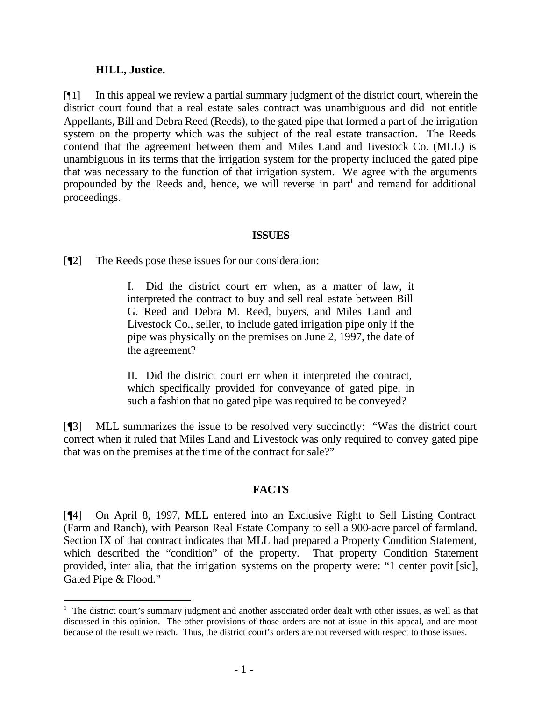### **HILL, Justice.**

l

[¶1] In this appeal we review a partial summary judgment of the district court, wherein the district court found that a real estate sales contract was unambiguous and did not entitle Appellants, Bill and Debra Reed (Reeds), to the gated pipe that formed a part of the irrigation system on the property which was the subject of the real estate transaction. The Reeds contend that the agreement between them and Miles Land and Livestock Co. (MLL) is unambiguous in its terms that the irrigation system for the property included the gated pipe that was necessary to the function of that irrigation system. We agree with the arguments propounded by the Reeds and, hence, we will reverse in part<sup>1</sup> and remand for additional proceedings.

## **ISSUES**

[¶2] The Reeds pose these issues for our consideration:

I. Did the district court err when, as a matter of law, it interpreted the contract to buy and sell real estate between Bill G. Reed and Debra M. Reed, buyers, and Miles Land and Livestock Co., seller, to include gated irrigation pipe only if the pipe was physically on the premises on June 2, 1997, the date of the agreement?

II. Did the district court err when it interpreted the contract, which specifically provided for conveyance of gated pipe, in such a fashion that no gated pipe was required to be conveyed?

[¶3] MLL summarizes the issue to be resolved very succinctly: "Was the district court correct when it ruled that Miles Land and Livestock was only required to convey gated pipe that was on the premises at the time of the contract for sale?"

## **FACTS**

[¶4] On April 8, 1997, MLL entered into an Exclusive Right to Sell Listing Contract (Farm and Ranch), with Pearson Real Estate Company to sell a 900-acre parcel of farmland. Section IX of that contract indicates that MLL had prepared a Property Condition Statement, which described the "condition" of the property. That property Condition Statement provided, inter alia, that the irrigation systems on the property were: "1 center povit [sic], Gated Pipe & Flood."

<sup>&</sup>lt;sup>1</sup> The district court's summary judgment and another associated order dealt with other issues, as well as that discussed in this opinion. The other provisions of those orders are not at issue in this appeal, and are moot because of the result we reach. Thus, the district court's orders are not reversed with respect to those issues.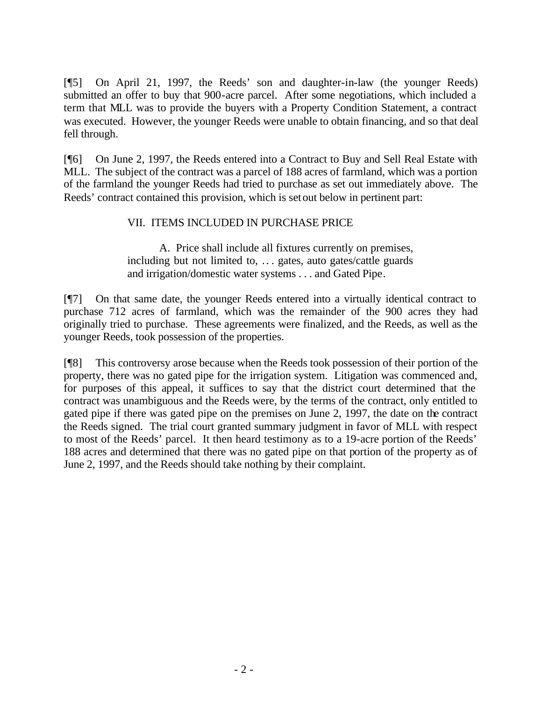[¶5] On April 21, 1997, the Reeds' son and daughter-in-law (the younger Reeds) submitted an offer to buy that 900-acre parcel. After some negotiations, which included a term that MLL was to provide the buyers with a Property Condition Statement, a contract was executed. However, the younger Reeds were unable to obtain financing, and so that deal fell through.

[¶6] On June 2, 1997, the Reeds entered into a Contract to Buy and Sell Real Estate with MLL. The subject of the contract was a parcel of 188 acres of farmland, which was a portion of the farmland the younger Reeds had tried to purchase as set out immediately above. The Reeds' contract contained this provision, which is set out below in pertinent part:

## VII. ITEMS INCLUDED IN PURCHASE PRICE

A. Price shall include all fixtures currently on premises, including but not limited to, .. . gates, auto gates/cattle guards and irrigation/domestic water systems . . . and Gated Pipe.

[¶7] On that same date, the younger Reeds entered into a virtually identical contract to purchase 712 acres of farmland, which was the remainder of the 900 acres they had originally tried to purchase. These agreements were finalized, and the Reeds, as well as the younger Reeds, took possession of the properties.

[¶8] This controversy arose because when the Reeds took possession of their portion of the property, there was no gated pipe for the irrigation system. Litigation was commenced and, for purposes of this appeal, it suffices to say that the district court determined that the contract was unambiguous and the Reeds were, by the terms of the contract, only entitled to gated pipe if there was gated pipe on the premises on June 2, 1997, the date on the contract the Reeds signed. The trial court granted summary judgment in favor of MLL with respect to most of the Reeds' parcel. It then heard testimony as to a 19-acre portion of the Reeds' 188 acres and determined that there was no gated pipe on that portion of the property as of June 2, 1997, and the Reeds should take nothing by their complaint.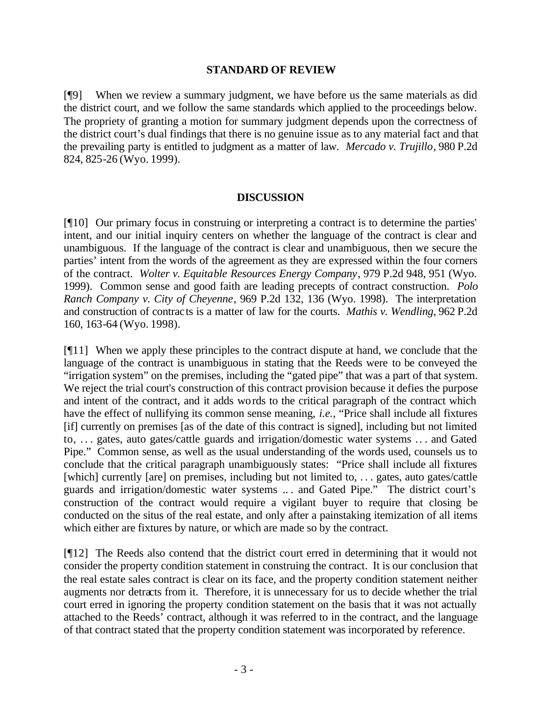### **STANDARD OF REVIEW**

[¶9] When we review a summary judgment, we have before us the same materials as did the district court, and we follow the same standards which applied to the proceedings below. The propriety of granting a motion for summary judgment depends upon the correctness of the district court's dual findings that there is no genuine issue as to any material fact and that the prevailing party is entitled to judgment as a matter of law. *Mercado v. Trujillo*, 980 P.2d 824, 825-26 (Wyo. 1999).

### **DISCUSSION**

[¶10] Our primary focus in construing or interpreting a contract is to determine the parties' intent, and our initial inquiry centers on whether the language of the contract is clear and unambiguous. If the language of the contract is clear and unambiguous, then we secure the parties' intent from the words of the agreement as they are expressed within the four corners of the contract. *Wolter v. Equitable Resources Energy Company*, 979 P.2d 948, 951 (Wyo. 1999). Common sense and good faith are leading precepts of contract construction. *Polo Ranch Company v. City of Cheyenne*, 969 P.2d 132, 136 (Wyo. 1998). The interpretation and construction of contracts is a matter of law for the courts. *Mathis v. Wendling*, 962 P.2d 160, 163-64 (Wyo. 1998).

[¶11] When we apply these principles to the contract dispute at hand, we conclude that the language of the contract is unambiguous in stating that the Reeds were to be conveyed the "irrigation system" on the premises, including the "gated pipe" that was a part of that system. We reject the trial court's construction of this contract provision because it defies the purpose and intent of the contract, and it adds words to the critical paragraph of the contract which have the effect of nullifying its common sense meaning, *i.e.,* "Price shall include all fixtures [if] currently on premises [as of the date of this contract is signed], including but not limited to, . . . gates, auto gates/cattle guards and irrigation/domestic water systems .. . and Gated Pipe." Common sense, as well as the usual understanding of the words used, counsels us to conclude that the critical paragraph unambiguously states: "Price shall include all fixtures [which] currently [are] on premises, including but not limited to, . . . gates, auto gates/cattle guards and irrigation/domestic water systems .. . and Gated Pipe." The district court's construction of the contract would require a vigilant buyer to require that closing be conducted on the situs of the real estate, and only after a painstaking itemization of all items which either are fixtures by nature, or which are made so by the contract.

[¶12] The Reeds also contend that the district court erred in determining that it would not consider the property condition statement in construing the contract. It is our conclusion that the real estate sales contract is clear on its face, and the property condition statement neither augments nor detracts from it. Therefore, it is unnecessary for us to decide whether the trial court erred in ignoring the property condition statement on the basis that it was not actually attached to the Reeds' contract, although it was referred to in the contract, and the language of that contract stated that the property condition statement was incorporated by reference.